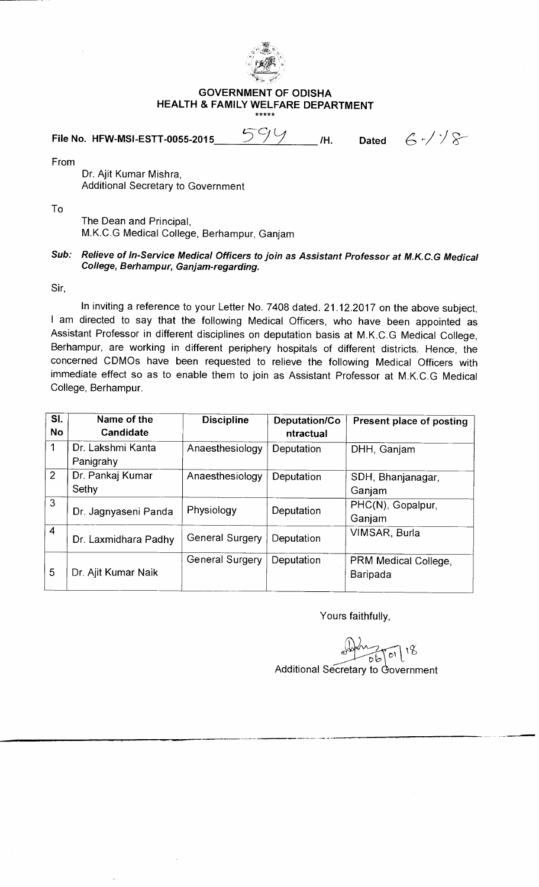

## **GOVERNMENT OF ODISHA HEALTH & FAMILY WELFARE DEPARTMENT**

**File No. HFW-MSI-ESTT-0055-2015** 599 /H. Dated  $6.4\%$ 

From

Dr. Ajit Kumar Mishra, Additional Secretary to Government

To

The Dean and Principal, M.K.C.G Medical College, Berhampur, Ganjam

## **Sub: Relieve of In-Service Medical Officers to join as Assistant Professor at M.K.C.G Medical College, Berhampur, Ganjam-regarding.**

Sir,

In inviting a reference to your Letter No. 7408 dated. 21.12.2017 on the above subject, I am directed to say that the following Medical Officers, who have been appointed as Assistant Professor in different disciplines on deputation basis at M.K.C.G Medical College, Berhampur, are working in different periphery hospitals of different districts. Hence, the concerned CDMOs have been requested to relieve the following Medical Officers with immediate effect so as to enable them to join as Assistant Professor at M.K.C.G Medical College, Berhampur.

| SI.<br>No                | Name of the<br>Candidate       | <b>Discipline</b>      | Deputation/Co<br>ntractual | Present place of posting                |
|--------------------------|--------------------------------|------------------------|----------------------------|-----------------------------------------|
| 1                        | Dr. Lakshmi Kanta<br>Panigrahy | Anaesthesiology        | Deputation                 | DHH, Ganjam                             |
| $\overline{2}$           | Dr. Pankaj Kumar<br>Sethy      | Anaesthesiology        | Deputation                 | SDH, Bhanjanagar,<br>Ganjam             |
| 3                        | Dr. Jagnyaseni Panda           | Physiology             | Deputation                 | PHC(N), Gopalpur,<br>Ganjam             |
| $\overline{\mathcal{L}}$ | Dr. Laxmidhara Padhy           | <b>General Surgery</b> | Deputation                 | VIMSAR, Burla                           |
| 5                        | Dr. Ajit Kumar Naik            | <b>General Surgery</b> | Deputation                 | PRM Medical College,<br><b>Baripada</b> |

Yours faithfully,

 $\frac{1}{26}$ Additional Secretary to Government